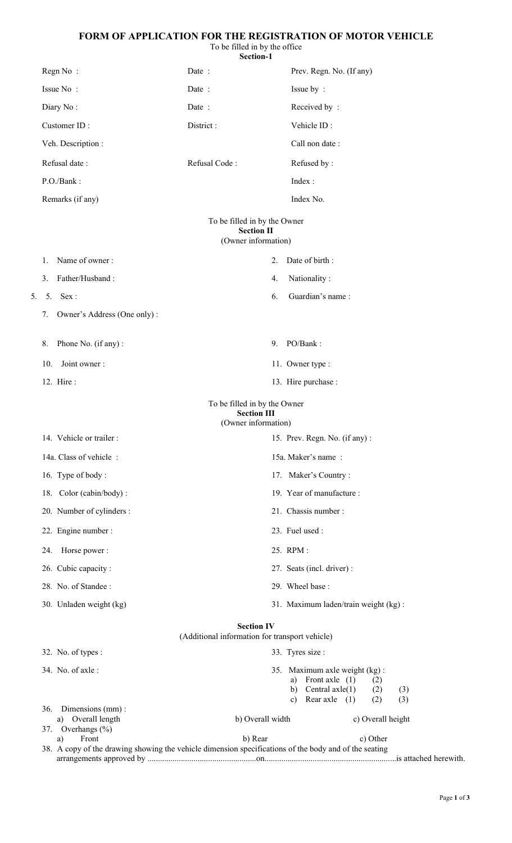### **FORM OF APPLICATION FOR THE REGISTRATION OF MOTOR VEHICLE**

To be filled in by the office

|    |     |                             | Section-1                                                                 |                                                                                                      |
|----|-----|-----------------------------|---------------------------------------------------------------------------|------------------------------------------------------------------------------------------------------|
|    |     | Regn No:                    | Date:                                                                     | Prev. Regn. No. (If any)                                                                             |
|    |     | Issue No:                   | Date:                                                                     | Issue by:                                                                                            |
|    |     | Diary No:                   | Date:                                                                     | Received by:                                                                                         |
|    |     | Customer ID:                | District:                                                                 | Vehicle ID:                                                                                          |
|    |     | Veh. Description :          |                                                                           | Call non date:                                                                                       |
|    |     | Refusal date:               | Refusal Code:                                                             | Refused by:                                                                                          |
|    |     | P.O./Bank:                  |                                                                           | Index:                                                                                               |
|    |     | Remarks (if any)            |                                                                           | Index No.                                                                                            |
|    |     |                             | To be filled in by the Owner<br><b>Section II</b><br>(Owner information)  |                                                                                                      |
|    | 1.  | Name of owner:              | 2.                                                                        | Date of birth:                                                                                       |
|    | 3.  | Father/Husband:             | 4.                                                                        | Nationality:                                                                                         |
| 5. |     | 5. Sex:                     | 6.                                                                        | Guardian's name:                                                                                     |
|    | 7.  | Owner's Address (One only): |                                                                           |                                                                                                      |
|    | 8.  | Phone No. (if any):         | 9.                                                                        | PO/Bank:                                                                                             |
|    | 10. | Joint owner:                |                                                                           | 11. Owner type :                                                                                     |
|    |     | 12. Hire:                   |                                                                           | 13. Hire purchase :                                                                                  |
|    |     |                             | To be filled in by the Owner<br><b>Section III</b><br>(Owner information) |                                                                                                      |
|    |     | 14. Vehicle or trailer :    |                                                                           | 15. Prev. Regn. No. (if any):                                                                        |
|    |     | 14a. Class of vehicle:      |                                                                           | 15a. Maker's name:                                                                                   |
|    |     | 16. Type of body:           |                                                                           | 17. Maker's Country:                                                                                 |
|    |     | 18. Color (cabin/body):     |                                                                           | 19. Year of manufacture :                                                                            |
|    |     | 20. Number of cylinders :   |                                                                           | 21. Chassis number:                                                                                  |
|    |     | 22. Engine number :         |                                                                           | 23. Fuel used :                                                                                      |
|    | 24. | Horse power:                |                                                                           | 25. RPM:                                                                                             |
|    |     | 26. Cubic capacity:         |                                                                           | 27. Seats (incl. driver) :                                                                           |
|    |     | 28. No. of Standee:         |                                                                           | 29. Wheel base:                                                                                      |
|    |     | 30. Unladen weight (kg)     |                                                                           | 31. Maximum laden/train weight (kg):                                                                 |
|    |     |                             | <b>Section IV</b><br>(Additional information for transport vehicle)       |                                                                                                      |
|    |     | 32. No. of types :          |                                                                           | 33. Tyres size :                                                                                     |
|    |     | 34. No. of axle:            |                                                                           | 35. Maximum axle weight (kg):<br>a) Front axle $(1)$<br>(2)<br>Central $axle(1)$<br>b)<br>(2)<br>(3) |
|    | 36. | Dimensions (mm):            |                                                                           | Rear axle $(1)$<br>(2)<br>(3)<br>C)                                                                  |
|    |     | Overall length<br>a)        | b) Overall width                                                          | c) Overall height                                                                                    |

arrangements approved by ....................................................on...............................................................is attached herewith.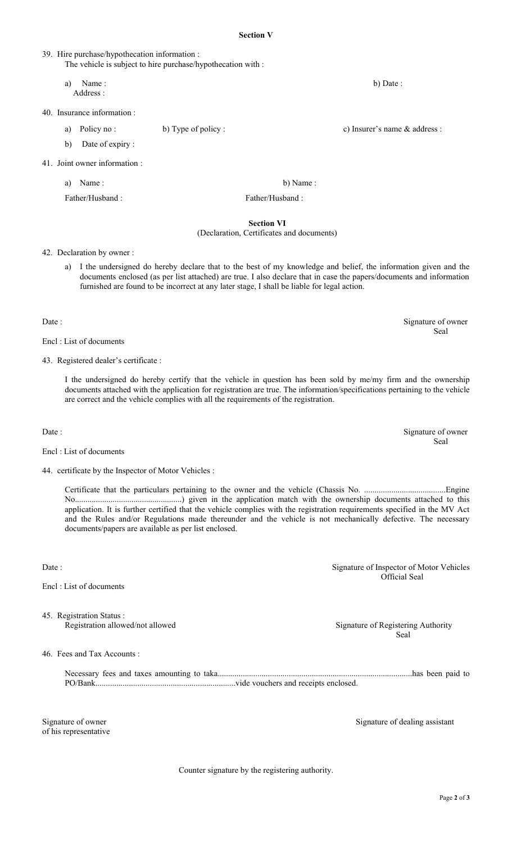#### **Section V**

|                               | The vehicle is subject to hire purchase/hypothecation with : |                 |                               |
|-------------------------------|--------------------------------------------------------------|-----------------|-------------------------------|
| Name:<br>a)<br>Address :      |                                                              |                 | b) Date :                     |
| 40. Insurance information :   |                                                              |                 |                               |
| Policy no:<br>a)              | b) Type of policy :                                          |                 | c) Insurer's name & address : |
| Date of expiry:<br>b)         |                                                              |                 |                               |
| 41. Joint owner information : |                                                              |                 |                               |
| Name:<br>a)                   |                                                              | b) Name:        |                               |
| Father/Husband:               |                                                              | Father/Husband: |                               |
|                               |                                                              | Section VI      |                               |

#### **Section VI** (Declaration, Certificates and documents)

#### 42. Declaration by owner :

39. Hire purchase/hypothecation information :

a) I the undersigned do hereby declare that to the best of my knowledge and belief, the information given and the documents enclosed (as per list attached) are true. I also declare that in case the papers/documents and information furnished are found to be incorrect at any later stage, I shall be liable for legal action.

Date : Signature of owner

Encl : List of documents

43. Registered dealer's certificate :

I the undersigned do hereby certify that the vehicle in question has been sold by me/my firm and the ownership documents attached with the application for registration are true. The information/specifications pertaining to the vehicle are correct and the vehicle complies with all the requirements of the registration.

Encl : List of documents

44. certificate by the Inspector of Motor Vehicles :

Certificate that the particulars pertaining to the owner and the vehicle (Chassis No. .......................................Engine No...................................................) given in the application match with the ownership documents attached to this application. It is further certified that the vehicle complies with the registration requirements specified in the MV Act and the Rules and/or Regulations made thereunder and the vehicle is not mechanically defective. The necessary documents/papers are available as per list enclosed.

Encl : List of documents

45. Registration Status :

46. Fees and Tax Accounts :

Necessary fees and taxes amounting to taka.............................................................................................has been paid to PO/Bank...................................................................vide vouchers and receipts enclosed.

of his representative

Signature of owner Signature of dealing assistant

Counter signature by the registering authority.

Date : Signature of owner Seal

Seal

Date : Signature of Inspector of Motor Vehicles Official Seal

Registration allowed/not allowed Signature of Registering Authority

Seal